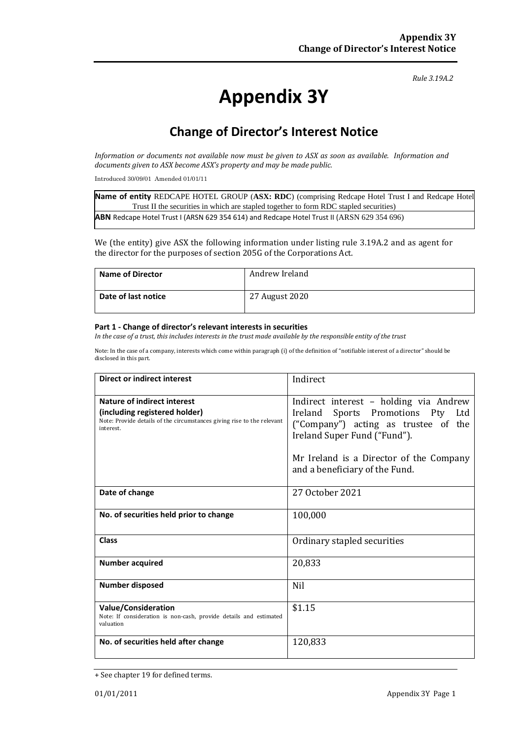*Rule 3.19A.2*

# **Appendix 3Y**

## **Change of Director's Interest Notice**

*Information or documents not available now must be given to ASX as soon as available. Information and documents given to ASX become ASX's property and may be made public.*

Introduced 30/09/01 Amended 01/01/11

**Name of entity** REDCAPE HOTEL GROUP (**ASX: RDC**) (comprising Redcape Hotel Trust I and Redcape Hotel Trust II the securities in which are stapled together to form RDC stapled securities) **ABN** Redcape Hotel Trust I (ARSN 629 354 614) and Redcape Hotel Trust II (ARSN 629 354 696)

We (the entity) give ASX the following information under listing rule 3.19A.2 and as agent for the director for the purposes of section 205G of the Corporations Act.

| <b>Name of Director</b> | Andrew Ireland |
|-------------------------|----------------|
| Date of last notice     | 27 August 2020 |

#### **Part 1 - Change of director's relevant interests in securities**

*In the case of a trust, this includes interests in the trust made available by the responsible entity of the trust*

Note: In the case of a company, interests which come within paragraph (i) of the definition of "notifiable interest of a director" should be disclosed in this part.

| <b>Direct or indirect interest</b>                                                                                                                  | Indirect                                                                                                                                                                                                                         |
|-----------------------------------------------------------------------------------------------------------------------------------------------------|----------------------------------------------------------------------------------------------------------------------------------------------------------------------------------------------------------------------------------|
| Nature of indirect interest<br>(including registered holder)<br>Note: Provide details of the circumstances giving rise to the relevant<br>interest. | Indirect interest - holding via Andrew<br>Ireland Sports Promotions Pty Ltd<br>("Company") acting as trustee of the<br>Ireland Super Fund ("Fund").<br>Mr Ireland is a Director of the Company<br>and a beneficiary of the Fund. |
| Date of change                                                                                                                                      | 27 October 2021                                                                                                                                                                                                                  |
| No. of securities held prior to change                                                                                                              | 100,000                                                                                                                                                                                                                          |
| <b>Class</b>                                                                                                                                        | Ordinary stapled securities                                                                                                                                                                                                      |
| <b>Number acquired</b>                                                                                                                              | 20,833                                                                                                                                                                                                                           |
| <b>Number disposed</b>                                                                                                                              | Nil                                                                                                                                                                                                                              |
| <b>Value/Consideration</b><br>Note: If consideration is non-cash, provide details and estimated<br>valuation                                        | \$1.15                                                                                                                                                                                                                           |
| No. of securities held after change                                                                                                                 | 120,833                                                                                                                                                                                                                          |

<sup>+</sup> See chapter 19 for defined terms.